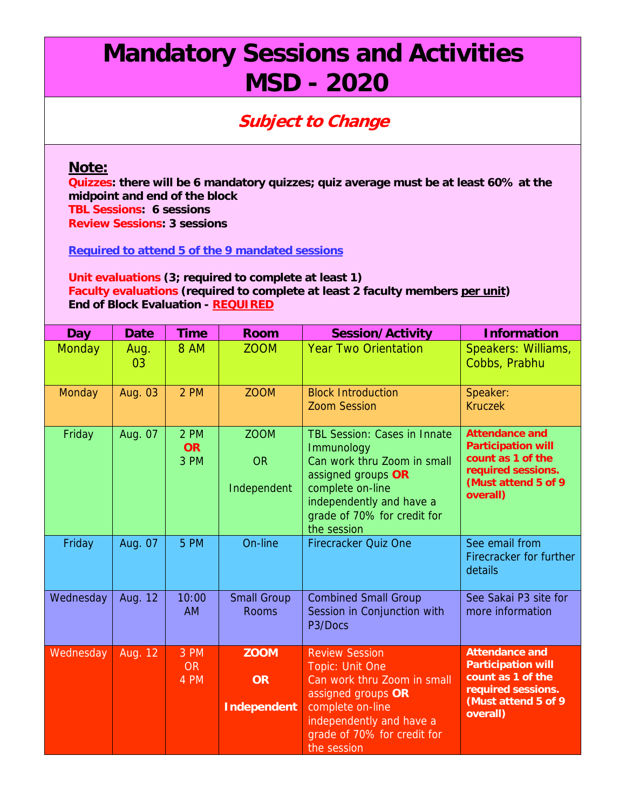## **Mandatory Sessions and Activities MSD - 2020**

## **Subject to Change**

## **Note:**

**Quizzes: there will be 6 mandatory quizzes; quiz average must be at least 60% at the midpoint and end of the block TBL Sessions: 6 sessions Review Sessions: 3 sessions** 

**Required to attend 5 of the 9 mandated sessions** 

## **Unit evaluations (3; required to complete at least 1) Faculty evaluations (required to complete at least 2 faculty members per unit) End of Block Evaluation - REQUIRED**

| <b>Day</b>    | <b>Date</b> | <b>Time</b>               | <b>Room</b>                                    | <b>Session/Activity</b>                                                                                                                                                                              | <b>Information</b>                                                                                                                |
|---------------|-------------|---------------------------|------------------------------------------------|------------------------------------------------------------------------------------------------------------------------------------------------------------------------------------------------------|-----------------------------------------------------------------------------------------------------------------------------------|
| <b>Monday</b> | Aug.<br>03  | 8 AM                      | <b>ZOOM</b>                                    | <b>Year Two Orientation</b>                                                                                                                                                                          | Speakers: Williams,<br>Cobbs, Prabhu                                                                                              |
| Monday        | Aug. 03     | 2 PM                      | <b>ZOOM</b>                                    | <b>Block Introduction</b><br><b>Zoom Session</b>                                                                                                                                                     | Speaker:<br><b>Kruczek</b>                                                                                                        |
| Friday        | Aug. 07     | 2 PM<br><b>OR</b><br>3 PM | <b>ZOOM</b><br><b>OR</b><br>Independent        | <b>TBL Session: Cases in Innate</b><br>Immunology<br>Can work thru Zoom in small<br>assigned groups OR<br>complete on-line<br>independently and have a<br>grade of 70% for credit for<br>the session | <b>Attendance and</b><br><b>Participation will</b><br>count as 1 of the<br>required sessions.<br>(Must attend 5 of 9)<br>overall) |
| Friday        | Aug. 07     | 5 PM                      | On-line                                        | <b>Firecracker Quiz One</b>                                                                                                                                                                          | See email from<br>Firecracker for further<br>details                                                                              |
| Wednesday     | Aug. 12     | 10:00<br><b>AM</b>        | <b>Small Group</b><br><b>Rooms</b>             | <b>Combined Small Group</b><br>Session in Conjunction with<br>P3/Docs                                                                                                                                | See Sakai P3 site for<br>more information                                                                                         |
| Wednesday     | Aug. 12     | 3 PM<br><b>OR</b><br>4 PM | <b>ZOOM</b><br><b>OR</b><br><b>Independent</b> | <b>Review Session</b><br>Topic: Unit One<br>Can work thru Zoom in small<br>assigned groups OR<br>complete on-line<br>independently and have a<br>grade of 70% for credit for<br>the session          | <b>Attendance and</b><br><b>Participation will</b><br>count as 1 of the<br>required sessions.<br>(Must attend 5 of 9<br>overall)  |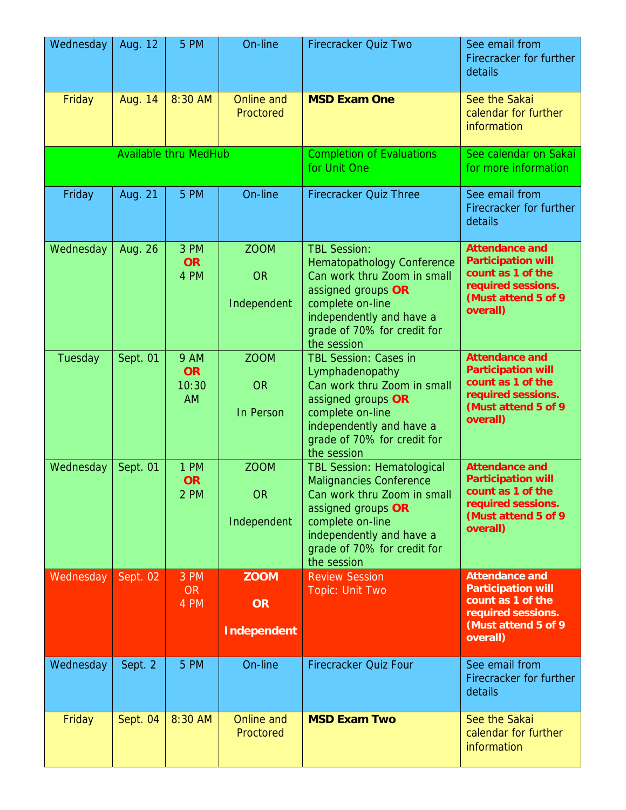| Wednesday | Aug. 12  | 5 PM                                           | On-line                                        | <b>Firecracker Quiz Two</b>                                                                                                                                                                                            | See email from<br>Firecracker for further<br>details                                                                              |
|-----------|----------|------------------------------------------------|------------------------------------------------|------------------------------------------------------------------------------------------------------------------------------------------------------------------------------------------------------------------------|-----------------------------------------------------------------------------------------------------------------------------------|
| Friday    | Aug. 14  | 8:30 AM                                        | <b>Online and</b><br>Proctored                 | <b>MSD Exam One</b>                                                                                                                                                                                                    | See the Sakai<br>calendar for further<br>information                                                                              |
|           |          | <b>Available thru MedHub</b>                   |                                                | <b>Completion of Evaluations</b><br>for Unit One                                                                                                                                                                       | See calendar on Sakai<br>for more information                                                                                     |
| Friday    | Aug. 21  | 5 PM                                           | On-line                                        | <b>Firecracker Quiz Three</b>                                                                                                                                                                                          | See email from<br>Firecracker for further<br>details                                                                              |
| Wednesday | Aug. 26  | 3 PM<br><b>OR</b><br>4 PM                      | <b>ZOOM</b><br><b>OR</b><br>Independent        | <b>TBL Session:</b><br><b>Hematopathology Conference</b><br>Can work thru Zoom in small<br>assigned groups OR<br>complete on-line<br>independently and have a<br>grade of 70% for credit for<br>the session            | <b>Attendance and</b><br><b>Participation will</b><br>count as 1 of the<br>required sessions.<br>(Must attend 5 of 9<br>overall)  |
| Tuesday   | Sept. 01 | <b>9 AM</b><br><b>OR</b><br>10:30<br><b>AM</b> | <b>ZOOM</b><br><b>OR</b><br>In Person          | <b>TBL Session: Cases in</b><br>Lymphadenopathy<br>Can work thru Zoom in small<br>assigned groups OR<br>complete on-line<br>independently and have a<br>grade of 70% for credit for<br>the session                     | <b>Attendance and</b><br><b>Participation will</b><br>count as 1 of the<br>required sessions.<br>(Must attend 5 of 9)<br>overall) |
| Wednesday | Sept. 01 | 1 PM<br><b>OR</b><br>2 PM                      | <b>ZOOM</b><br>OR<br>Independent               | <b>TBL Session: Hematological</b><br><b>Malignancies Conference</b><br>Can work thru Zoom in small<br>assigned groups OR<br>complete on-line<br>independently and have a<br>grade of 70% for credit for<br>the session | <b>Attendance and</b><br><b>Participation will</b><br>count as 1 of the<br>required sessions.<br>(Must attend 5 of 9<br>overall)  |
| Wednesday | Sept. 02 | 3 PM<br>OR <sub>1</sub><br>4 PM                | <b>ZOOM</b><br><b>OR</b><br><b>Independent</b> | <b>Review Session</b><br><b>Topic: Unit Two</b>                                                                                                                                                                        | <b>Attendance and</b><br><b>Participation will</b><br>count as 1 of the<br>required sessions.<br>(Must attend 5 of 9)<br>overall) |
| Wednesday | Sept. 2  | 5 PM                                           | On-line                                        | Firecracker Quiz Four                                                                                                                                                                                                  | See email from<br>Firecracker for further<br>details                                                                              |
| Friday    | Sept. 04 | 8:30 AM                                        | Online and<br>Proctored                        | <b>MSD Exam Two</b>                                                                                                                                                                                                    | See the Sakai<br>calendar for further<br>information                                                                              |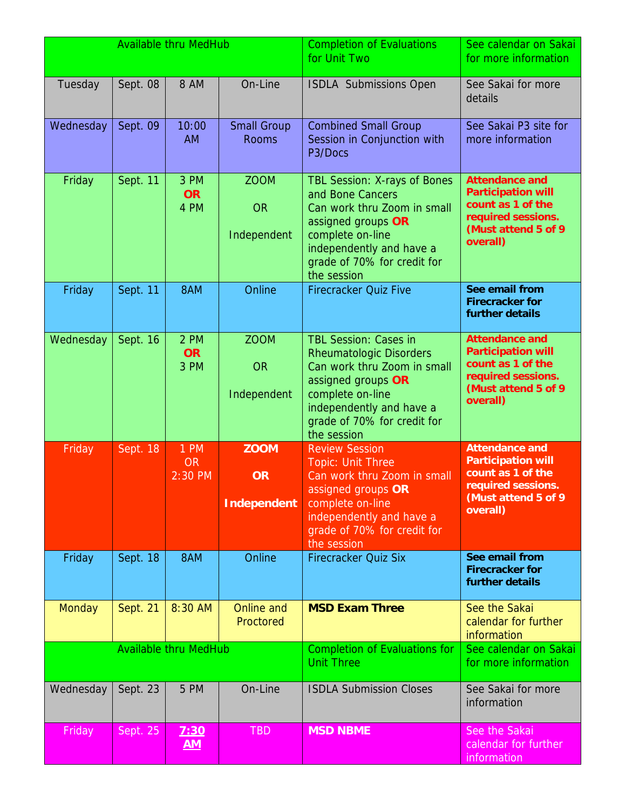|                              |          | <b>Available thru MedHub</b>        |                                                | <b>Completion of Evaluations</b><br>for Unit Two                                                                                                                                                                  | See calendar on Sakai<br>for more information                                                                                     |
|------------------------------|----------|-------------------------------------|------------------------------------------------|-------------------------------------------------------------------------------------------------------------------------------------------------------------------------------------------------------------------|-----------------------------------------------------------------------------------------------------------------------------------|
| Tuesday                      | Sept. 08 | 8 AM                                | On-Line                                        | <b>ISDLA Submissions Open</b>                                                                                                                                                                                     | See Sakai for more<br>details                                                                                                     |
| Wednesday                    | Sept. 09 | 10:00<br><b>AM</b>                  | <b>Small Group</b><br><b>Rooms</b>             | <b>Combined Small Group</b><br>Session in Conjunction with<br>P3/Docs                                                                                                                                             | See Sakai P3 site for<br>more information                                                                                         |
| Friday                       | Sept. 11 | 3 PM<br><b>OR</b><br>4 PM           | <b>ZOOM</b><br><b>OR</b><br>Independent        | <b>TBL Session: X-rays of Bones</b><br>and Bone Cancers<br>Can work thru Zoom in small<br>assigned groups OR<br>complete on-line<br>independently and have a<br>grade of 70% for credit for<br>the session        | <b>Attendance and</b><br><b>Participation will</b><br>count as 1 of the<br>required sessions.<br>(Must attend 5 of 9)<br>overall) |
| Friday                       | Sept. 11 | 8AM                                 | Online                                         | <b>Firecracker Quiz Five</b>                                                                                                                                                                                      | See email from<br><b>Firecracker for</b><br>further details                                                                       |
| Wednesday                    | Sept. 16 | 2 PM<br><b>OR</b><br>3 PM           | <b>ZOOM</b><br><b>OR</b><br>Independent        | <b>TBL Session: Cases in</b><br><b>Rheumatologic Disorders</b><br>Can work thru Zoom in small<br>assigned groups OR<br>complete on-line<br>independently and have a<br>grade of 70% for credit for<br>the session | <b>Attendance and</b><br><b>Participation will</b><br>count as 1 of the<br>required sessions.<br>(Must attend 5 of 9<br>overall)  |
| Friday                       | Sept. 18 | <b>1 PM</b><br><b>OR</b><br>2:30 PM | <b>ZOOM</b><br><b>OR</b><br><b>Independent</b> | <b>Review Session</b><br><b>Topic: Unit Three</b><br>Can work thru Zoom in small<br>assigned groups OR<br>complete on-line<br>independently and have a<br>grade of 70% for credit for<br>the session              | <b>Attendance and</b><br><b>Participation will</b><br>count as 1 of the<br>required sessions.<br>(Must attend 5 of 9<br>overall)  |
| Friday                       | Sept. 18 | 8AM                                 | Online                                         | <b>Firecracker Quiz Six</b>                                                                                                                                                                                       | See email from<br><b>Firecracker for</b><br>further details                                                                       |
| <b>Monday</b>                | Sept. 21 | 8:30 AM                             | Online and<br>Proctored                        | <b>MSD Exam Three</b>                                                                                                                                                                                             | See the Sakai<br>calendar for further<br>information                                                                              |
| <b>Available thru MedHub</b> |          |                                     |                                                | <b>Completion of Evaluations for</b><br><b>Unit Three</b>                                                                                                                                                         | See calendar on Sakai<br>for more information                                                                                     |
| Wednesday                    | Sept. 23 | 5 PM                                | On-Line                                        | <b>ISDLA Submission Closes</b>                                                                                                                                                                                    | See Sakai for more<br>information                                                                                                 |
| Friday                       | Sept. 25 | 7:30<br><u>AM</u>                   | TBD                                            | <b>MSD NBME</b>                                                                                                                                                                                                   | See the Sakai<br>calendar for further<br>information                                                                              |